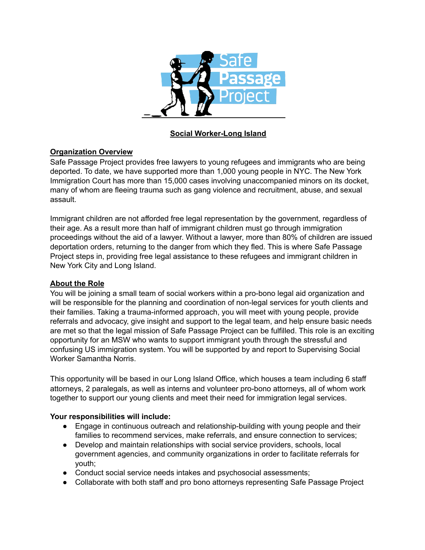

# **Social Worker-Long Island**

# **Organization Overview**

Safe Passage Project provides free lawyers to young refugees and immigrants who are being deported. To date, we have supported more than 1,000 young people in NYC. The New York Immigration Court has more than 15,000 cases involving unaccompanied minors on its docket, many of whom are fleeing trauma such as gang violence and recruitment, abuse, and sexual assault.

Immigrant children are not afforded free legal representation by the government, regardless of their age. As a result more than half of immigrant children must go through immigration proceedings without the aid of a lawyer. Without a lawyer, more than 80% of children are issued deportation orders, returning to the danger from which they fled. This is where Safe Passage Project steps in, providing free legal assistance to these refugees and immigrant children in New York City and Long Island.

### **About the Role**

You will be joining a small team of social workers within a pro-bono legal aid organization and will be responsible for the planning and coordination of non-legal services for youth clients and their families. Taking a trauma-informed approach, you will meet with young people, provide referrals and advocacy, give insight and support to the legal team, and help ensure basic needs are met so that the legal mission of Safe Passage Project can be fulfilled. This role is an exciting opportunity for an MSW who wants to support immigrant youth through the stressful and confusing US immigration system. You will be supported by and report to Supervising Social Worker Samantha Norris.

This opportunity will be based in our Long Island Office, which houses a team including 6 staff attorneys, 2 paralegals, as well as interns and volunteer pro-bono attorneys, all of whom work together to support our young clients and meet their need for immigration legal services.

### **Your responsibilities will include:**

- Engage in continuous outreach and relationship-building with young people and their families to recommend services, make referrals, and ensure connection to services;
- Develop and maintain relationships with social service providers, schools, local government agencies, and community organizations in order to facilitate referrals for youth;
- Conduct social service needs intakes and psychosocial assessments;
- Collaborate with both staff and pro bono attorneys representing Safe Passage Project